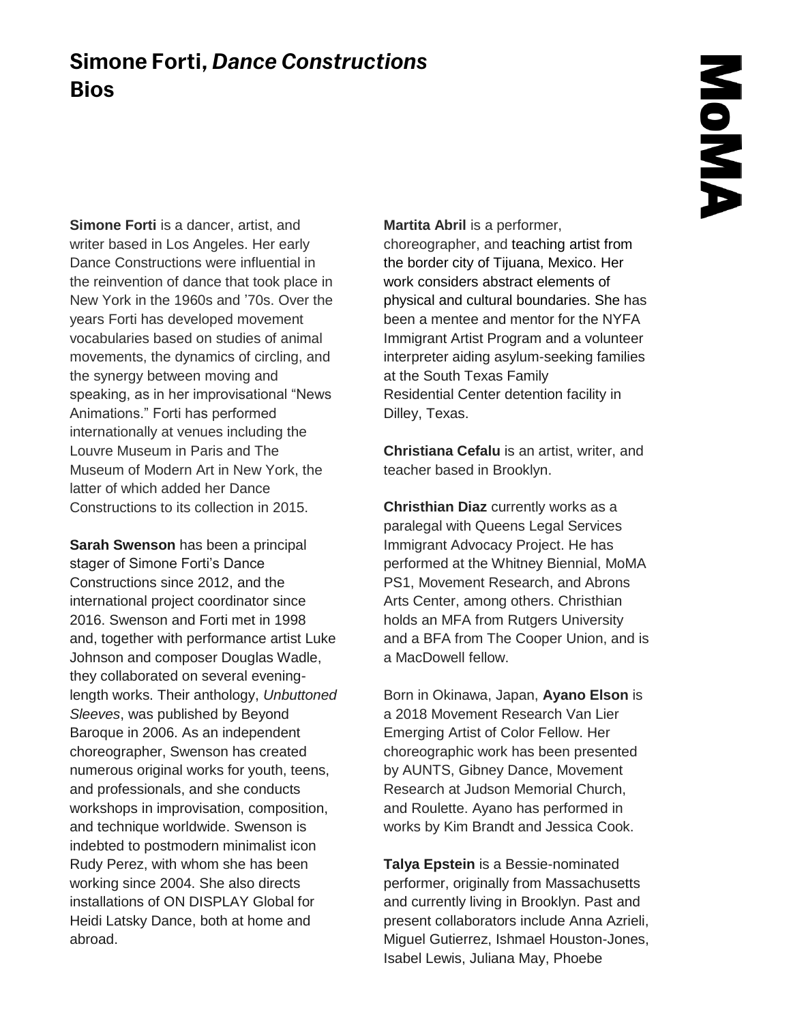## **Simone Forti,** *Dance Constructions* **Bios**

**Simone Forti** is a dancer, artist, and writer based in Los Angeles. Her early Dance Constructions were influential in the reinvention of dance that took place in New York in the 1960s and '70s. Over the years Forti has developed movement vocabularies based on studies of animal movements, the dynamics of circling, and the synergy between moving and speaking, as in her improvisational "News Animations." Forti has performed internationally at venues including the Louvre Museum in Paris and The Museum of Modern Art in New York, the latter of which added her Dance Constructions to its collection in 2015.

**Sarah Swenson** has been a principal stager of Simone Forti's Dance Constructions since 2012, and the international project coordinator since 2016. Swenson and Forti met in 1998 and, together with performance artist Luke Johnson and composer Douglas Wadle, they collaborated on several eveninglength works. Their anthology, *Unbuttoned Sleeves*, was published by Beyond Baroque in 2006. As an independent choreographer, Swenson has created numerous original works for youth, teens, and professionals, and she conducts workshops in improvisation, composition, and technique worldwide. Swenson is indebted to postmodern minimalist icon Rudy Perez, with whom she has been working since 2004. She also directs installations of ON DISPLAY Global for Heidi Latsky Dance, both at home and abroad.

**Martita Abril** is a performer,

choreographer, and teaching artist from the border city of Tijuana, Mexico. Her work considers abstract elements of physical and cultural boundaries. She has been a mentee and mentor for the NYFA Immigrant Artist Program and a volunteer interpreter aiding asylum-seeking families at the South Texas Family Residential Center detention facility in Dilley, Texas.

**Christiana Cefalu** is an artist, writer, and teacher based in Brooklyn.

**Christhian Diaz** currently works as a paralegal with Queens Legal Services Immigrant Advocacy Project. He has performed at the Whitney Biennial, MoMA PS1, Movement Research, and Abrons Arts Center, among others. Christhian holds an MFA from Rutgers University and a BFA from The Cooper Union, and is a MacDowell fellow.

Born in Okinawa, Japan, **Ayano Elson** is a 2018 Movement Research Van Lier Emerging Artist of Color Fellow. Her choreographic work has been presented by AUNTS, Gibney Dance, Movement Research at Judson Memorial Church, and Roulette. Ayano has performed in works by Kim Brandt and Jessica Cook.

**Talya Epstein** is a Bessie-nominated performer, originally from Massachusetts and currently living in Brooklyn. Past and present collaborators include Anna Azrieli, Miguel Gutierrez, Ishmael Houston-Jones, Isabel Lewis, Juliana May, Phoebe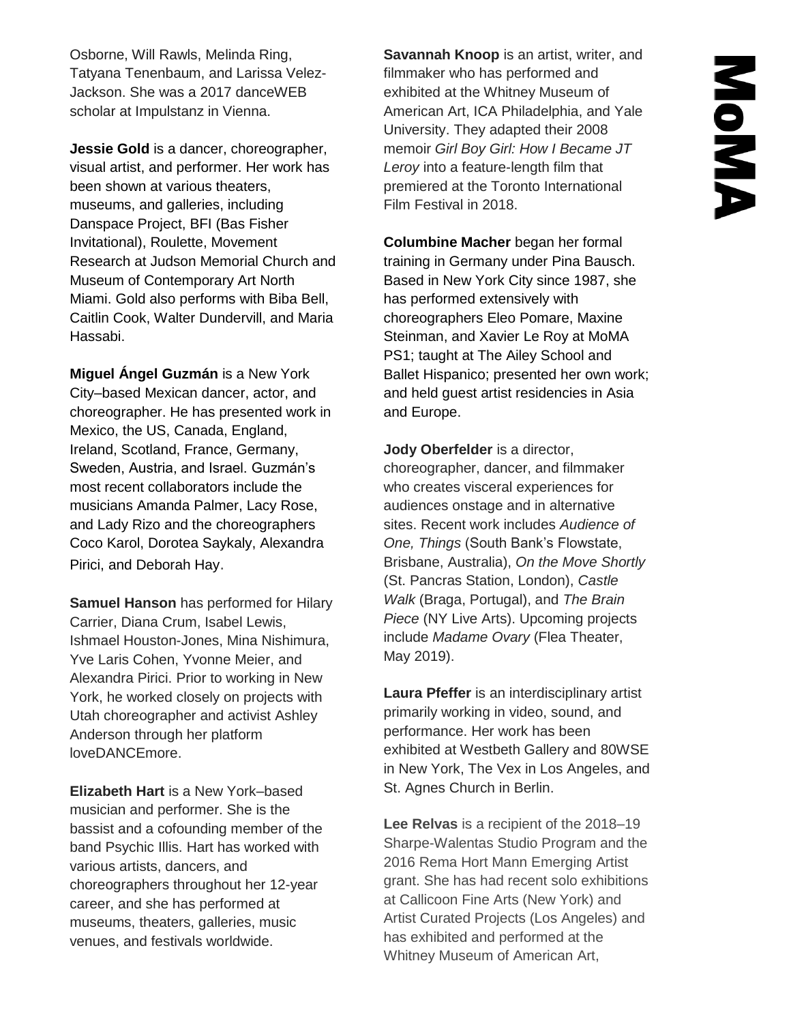Osborne, Will Rawls, Melinda Ring, Tatyana Tenenbaum, and Larissa Velez-Jackson. She was a 2017 danceWEB scholar at Impulstanz in Vienna.

**Jessie Gold** is a dancer, choreographer, visual artist, and performer. Her work has been shown at various theaters, museums, and galleries, including Danspace Project, BFI (Bas Fisher Invitational), Roulette, Movement Research at Judson Memorial Church and Museum of Contemporary Art North Miami. Gold also performs with Biba Bell, Caitlin Cook, Walter Dundervill, and Maria Hassabi.

**Miguel Ángel Guzmán** is a New York City–based Mexican dancer, actor, and choreographer. He has presented work in Mexico, the US, Canada, England, Ireland, Scotland, France, Germany, Sweden, Austria, and Israel. Guzmán's most recent collaborators include the musicians Amanda Palmer, Lacy Rose, and Lady Rizo and the choreographers Coco Karol, Dorotea Saykaly, Alexandra Pirici, and Deborah Hay.

**Samuel Hanson** has performed for Hilary Carrier, Diana Crum, Isabel Lewis, Ishmael Houston-Jones, Mina Nishimura, Yve Laris Cohen, Yvonne Meier, and Alexandra Pirici. Prior to working in New York, he worked closely on projects with Utah choreographer and activist Ashley Anderson through her platform loveDANCEmore.

**Elizabeth Hart** is a New York–based musician and performer. She is the bassist and a cofounding member of the band Psychic Illis. Hart has worked with various artists, dancers, and choreographers throughout her 12-year career, and she has performed at museums, theaters, galleries, music venues, and festivals worldwide.

**Savannah Knoop** is an artist, writer, and filmmaker who has performed and exhibited at the Whitney Museum of American Art, ICA Philadelphia, and Yale University. They adapted their 2008 memoir *Girl Boy Girl: How I Became JT Leroy* into a feature-length film that premiered at the Toronto International Film Festival in 2018.

**Columbine Macher** began her formal training in Germany under Pina Bausch. Based in New York City since 1987, she has performed extensively with choreographers Eleo Pomare, Maxine Steinman, and Xavier Le Roy at MoMA PS1; taught at The Ailey School and Ballet Hispanico; presented her own work; and held guest artist residencies in Asia and Europe.

**Jody Oberfelder** is a director, choreographer, dancer, and filmmaker who creates visceral experiences for audiences onstage and in alternative sites. Recent work includes *Audience of One, Things* (South Bank's Flowstate, Brisbane, Australia), *On the Move Shortly* (St. Pancras Station, London), *Castle Walk* (Braga, Portugal), and *The Brain Piece* (NY Live Arts). Upcoming projects include *Madame Ovary* (Flea Theater, May 2019).

**Laura Pfeffer** is an interdisciplinary artist primarily working in video, sound, and performance. Her work has been exhibited at Westbeth Gallery and 80WSE in New York, The Vex in Los Angeles, and St. Agnes Church in Berlin.

**Lee Relvas** is a recipient of the 2018–19 Sharpe-Walentas Studio Program and the 2016 Rema Hort Mann Emerging Artist grant. She has had recent solo exhibitions at Callicoon Fine Arts (New York) and Artist Curated Projects (Los Angeles) and has exhibited and performed at the Whitney Museum of American Art,